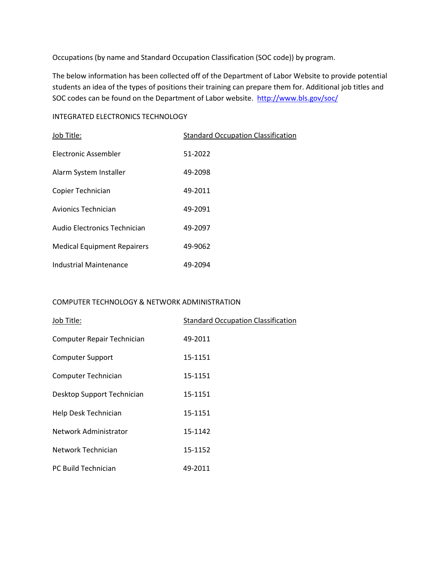Occupations (by name and Standard Occupation Classification (SOC code)) by program.

The below information has been collected off of the Department of Labor Website to provide potential students an idea of the types of positions their training can prepare them for. Additional job titles and SOC codes can be found on the Department of Labor website. <http://www.bls.gov/soc/>

## INTEGRATED ELECTRONICS TECHNOLOGY

| Job Title:                         | <b>Standard Occupation Classification</b> |
|------------------------------------|-------------------------------------------|
| <b>Flectronic Assembler</b>        | 51-2022                                   |
| Alarm System Installer             | 49-2098                                   |
| Copier Technician                  | 49-2011                                   |
| Avionics Technician                | 49-2091                                   |
| Audio Electronics Technician       | 49-2097                                   |
| <b>Medical Equipment Repairers</b> | 49-9062                                   |
| Industrial Maintenance             | 49-2094                                   |

## COMPUTER TECHNOLOGY & NETWORK ADMINISTRATION

| Job Title:                 | <b>Standard Occupation Classification</b> |
|----------------------------|-------------------------------------------|
| Computer Repair Technician | 49-2011                                   |
| Computer Support           | 15-1151                                   |
| Computer Technician        | 15-1151                                   |
| Desktop Support Technician | 15-1151                                   |
| Help Desk Technician       | 15-1151                                   |
| Network Administrator      | 15-1142                                   |
| Network Technician         | 15-1152                                   |
| PC Build Technician        | 49-2011                                   |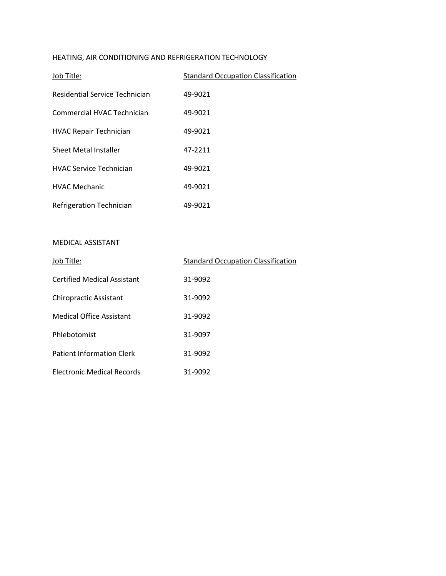# HEATING, AIR CONDITIONING AND REFRIGERATION TECHNOLOGY

| Job Title:                     | <b>Standard Occupation Classification</b> |
|--------------------------------|-------------------------------------------|
| Residential Service Technician | 49-9021                                   |
| Commercial HVAC Technician     | 49-9021                                   |
| <b>HVAC Repair Technician</b>  | 49-9021                                   |
| <b>Sheet Metal Installer</b>   | 47-2211                                   |
| <b>HVAC Service Technician</b> | 49-9021                                   |
| <b>HVAC Mechanic</b>           | 49-9021                                   |
| Refrigeration Technician       | 49-9021                                   |

### MEDICAL ASSISTANT

| Job Title:                         | <b>Standard Occupation Classification</b> |
|------------------------------------|-------------------------------------------|
| <b>Certified Medical Assistant</b> | 31-9092                                   |
| <b>Chiropractic Assistant</b>      | 31-9092                                   |
| Medical Office Assistant           | 31-9092                                   |
| Phlebotomist                       | 31-9097                                   |
| <b>Patient Information Clerk</b>   | 31-9092                                   |
| <b>Electronic Medical Records</b>  | 31-9092                                   |